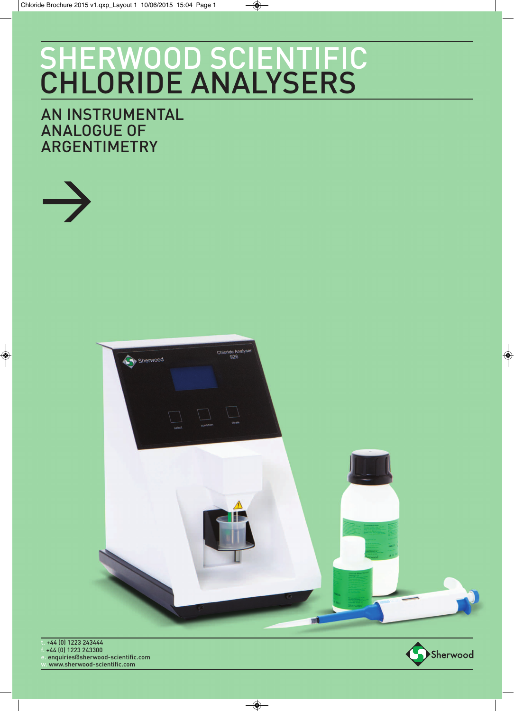# SHERWOOD SCIENTIFIC CHLORIDE ANALYSERS

### AN INSTRUMENTAL ANALOGUE OF ARGENTIMETRY

 $\rightarrow$ 



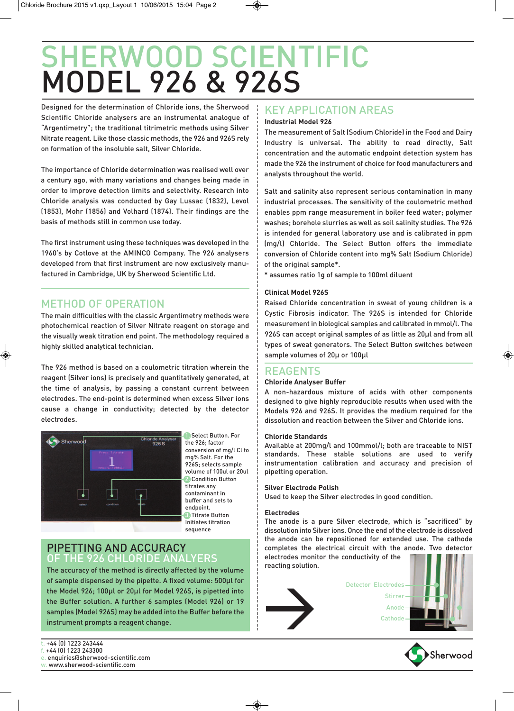## SHERWOOD SCIENTIFIC MODEL 926 & 926S

Designed for the determination of Chloride ions, the Sherwood Scientific Chloride analysers are an instrumental analogue of "Argentimetry"; the traditional titrimetric methods using Silver Nitrate reagent. Like those classic methods, the 926 and 926S rely on formation of the insoluble salt, Silver Chloride.

The importance of Chloride determination was realised well over a century ago, with many variations and changes being made in order to improve detection limits and selectivity. Research into Chloride analysis was conducted by Gay Lussac (1832), Levol (1853), Mohr (1856) and Volhard (1874). Their findings are the basis of methods still in common use today.

The first instrument using these techniques was developed in the 1960's by Cotlove at the AMINCO Company. The 926 analysers developed from that first instrument are now exclusively manufactured in Cambridge, UK by Sherwood Scientific Ltd.

### METHOD OF OPERATION

The main difficulties with the classic Argentimetry methods were photochemical reaction of Silver Nitrate reagent on storage and the visually weak titration end point. The methodology required a highly skilled analytical technician.

The 926 method is based on a coulometric titration wherein the reagent (Silver ions) is precisely and quantitatively generated, at the time of analysis, by passing a constant current between electrodes. The end-point is determined when excess Silver ions cause a change in conductivity; detected by the detector electrodes.



1. Select Button. For the 926; factor conversion of mg/l Cl to mg% Salt. For the 926S; selects sample volume of 100ul or 20ul 2. Condition Button titrates any contaminant in buffer and sets to endpoint. 3. Titrate Button Initiates titration sequence

### PIPETTING AND ACCURACY OF THE 926 CHLORIDE ANALYERS

The accuracy of the method is directly affected by the volume of sample dispensed by the pipette. A fixed volume: 500μl for the Model 926; 100μl or 20μl for Model 926S, is pipetted into the Buffer solution. A further 6 samples (Model 926) or 19 samples (Model 926S) may be added into the Buffer before the instrument prompts a reagent change.

### KEY APPLICATION AREAS

### **Industrial Model 926**

The measurement of Salt (Sodium Chloride) in the Food and Dairy Industry is universal. The ability to read directly, Salt concentration and the automatic endpoint detection system has made the 926 the instrument of choice for food manufacturers and analysts throughout the world.

Salt and salinity also represent serious contamination in many industrial processes. The sensitivity of the coulometric method enables ppm range measurement in boiler feed water; polymer washes; borehole slurries as well as soil salinity studies. The 926 is intended for general laboratory use and is calibrated in ppm (mg/l) Chloride. The Select Button offers the immediate conversion of Chloride content into mg% Salt (Sodium Chloride) of the original sample\*.

\* assumes ratio 1g of sample to 100ml diluent

### **Clinical Model 926S**

Raised Chloride concentration in sweat of young children is a Cystic Fibrosis indicator. The 926S is intended for Chloride measurement in biological samples and calibrated in mmol/l. The 926S can accept original samples of as little as 20μl and from all types of sweat generators. The Select Button switches between sample volumes of 20μ or 100μl

### REAGENTS

### **Chloride Analyser Buffer**

A non-hazardous mixture of acids with other components designed to give highly reproducible results when used with the Models 926 and 926S. It provides the medium required for the dissolution and reaction between the Silver and Chloride ions.

#### **Chloride Standards**

Available at 200mg/l and 100mmol/l; both are traceable to NIST standards. These stable solutions are used to verify instrumentation calibration and accuracy and precision of pipetting operation.

### **Silver Electrode Polish**

Used to keep the Silver electrodes in good condition.

#### **Electrodes**

The anode is a pure Silver electrode, which is "sacrificed" by dissolution into Silver ions. Once the end of the electrode is dissolved the anode can be repositioned for extended use. The cathode completes the electrical circuit with the anode. Two detector electrodes monitor the conductivity of the reacting solution.



Detector Electrodes Stirrer Anode **Cathode** 



- +44 (0) 1223 243444 f. +44 (0) 1223 243300
- e. enquiries@sherwood-scientific.com
- w. www.sherwood-scientific.com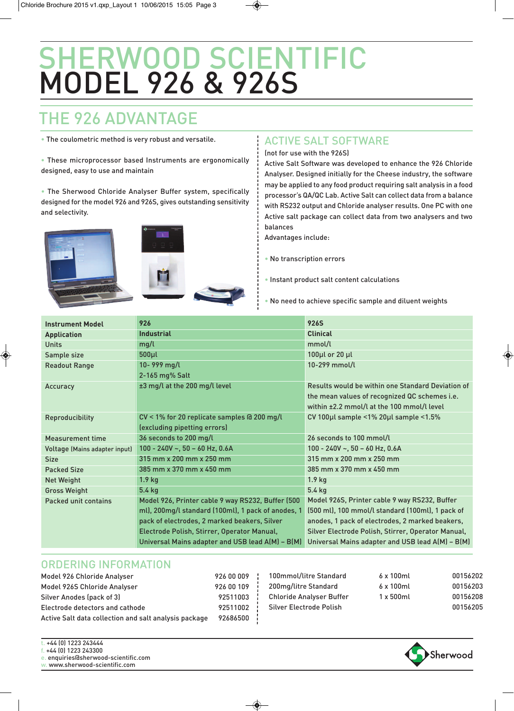## SHERWOOD SCIENTIFIC MODEL 926 & 926S

### THE 926 ADVANTAGE

• The coulometric method is very robust and versatile.

• These microprocessor based Instruments are ergonomically designed, easy to use and maintain

• The Sherwood Chloride Analyser Buffer system, specifically designed for the model 926 and 926S, gives outstanding sensitivity and selectivity.





### ACTIVE SALT SOFTWARE

(not for use with the 926S)

Active Salt Software was developed to enhance the 926 Chloride Analyser. Designed initially for the Cheese industry, the software may be applied to any food product requiring salt analysis in a food processor's QA/QC Lab. Active Salt can collect data from a balance with RS232 output and Chloride analyser results. One PC with one Active salt package can collect data from two analysers and two balances

Advantages include:

• No transcription errors

• Instant product salt content calculations

• No need to achieve specific sample and diluent weights

| <b>Instrument Model</b>       | 926                                                | <b>926S</b>                                        |  |  |
|-------------------------------|----------------------------------------------------|----------------------------------------------------|--|--|
| <b>Application</b>            | <b>Industrial</b>                                  | <b>Clinical</b>                                    |  |  |
| <b>Units</b>                  | mg/l                                               | mmol/l                                             |  |  |
| Sample size                   | $500 \mu l$                                        | 100µl or 20 µl                                     |  |  |
| <b>Readout Range</b>          | 10-999 mg/l                                        | 10-299 mmol/l                                      |  |  |
|                               | 2-165 mg% Salt                                     |                                                    |  |  |
| Accuracy                      | $\pm 3$ mg/l at the 200 mg/l level                 | Results would be within one Standard Deviation of  |  |  |
|                               |                                                    | the mean values of recognized QC schemes i.e.      |  |  |
|                               |                                                    | within ±2.2 mmol/l at the 100 mmol/l level         |  |  |
| Reproducibility               | CV < 1% for 20 replicate samples @ 200 mg/l        | CV 100µl sample <1% 20µl sample <1.5%              |  |  |
|                               | (excluding pipetting errors)                       |                                                    |  |  |
| <b>Measurement time</b>       | 36 seconds to 200 mg/l                             | 26 seconds to 100 mmol/l                           |  |  |
| Voltage (Mains adapter input) | 100 - 240V ~, 50 - 60 Hz, 0.6A                     | $100 - 240V - 50 - 60$ Hz, 0.6A                    |  |  |
| <b>Size</b>                   | 315 mm x 200 mm x 250 mm                           | $315$ mm x $200$ mm x $250$ mm                     |  |  |
| <b>Packed Size</b>            | 385 mm x 370 mm x 450 mm                           | 385 mm x 370 mm x 450 mm                           |  |  |
| <b>Net Weight</b>             | 1.9 <sub>kg</sub>                                  | 1.9 <sub>kg</sub>                                  |  |  |
| <b>Gross Weight</b>           | $5.4$ kg                                           | $5.4$ kg                                           |  |  |
| Packed unit contains          | Model 926, Printer cable 9 way RS232, Buffer (500  | Model 926S, Printer cable 9 way RS232, Buffer      |  |  |
|                               | ml), 200mg/l standard (100ml), 1 pack of anodes, 1 | (500 ml), 100 mmol/l standard (100ml), 1 pack of   |  |  |
|                               | pack of electrodes, 2 marked beakers, Silver       | anodes, 1 pack of electrodes, 2 marked beakers,    |  |  |
|                               | Electrode Polish, Stirrer, Operator Manual,        | Silver Electrode Polish, Stirrer, Operator Manual, |  |  |
|                               | Universal Mains adapter and USB lead A(M) - B(M)   | Universal Mains adapter and USB lead A(M) - B(M)   |  |  |

### ORDERING INFORMATION

| Model 926 Chloride Analyser                           |                          |                    |
|-------------------------------------------------------|--------------------------|--------------------|
| Model 926S Chloride Analyser                          | 926 00 109 200mg/litre   |                    |
| Silver Anodes (pack of 3)                             | 92511003                 | <b>Chloride An</b> |
| Electrode detectors and cathode                       | 92511002 !               | Silver Electi      |
| Active Salt data collection and salt analysis package | $92686500$ $\frac{1}{2}$ |                    |
|                                                       |                          |                    |

| 100mmol/litre Standard          | $6 \times 100$ ml | 00156202 |
|---------------------------------|-------------------|----------|
| 200mg/litre Standard            | $6 \times 100$ ml | 00156203 |
| <b>Chloride Analyser Buffer</b> | $1 \times 500$ ml | 00156208 |
| Silver Electrode Polish         |                   | 00156205 |
|                                 |                   |          |

+44 (0) 1223 243444 f. +44 (0) 1223 243300

e. enquiries@sherwood-scientific.com w. www.sherwood-scientific.com